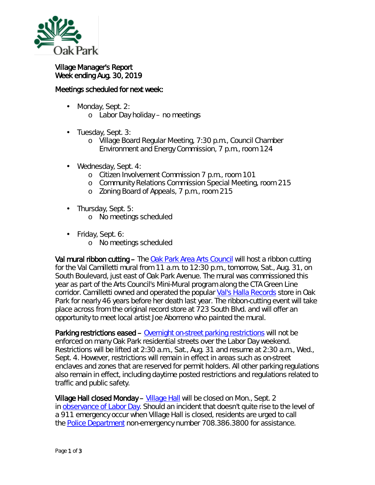

## Village Manager's Report Week ending Aug. 30, 2019

## Meetings scheduled for next week:

- Monday, Sept. 2: ä,
	- o Labor Day holiday no meetings
- ä, Tuesday, Sept. 3:
	- o Village Board Regular Meeting, 7:30 p.m., Council Chamber Environment and Energy Commission, 7 p.m., room 124
- Wednesday, Sept. 4:
	- o Citizen Involvement Commission 7 p.m., room 101
	- o Community Relations Commission Special Meeting, room 215
	- o Zoning Board of Appeals, 7 p.m., room 215
- . Thursday, Sept. 5:
	- o No meetings scheduled
- Friday, Sept. 6: a.
	- o No meetings scheduled

Val mural ribbon cutting – The [Oak Park Area Arts Council](http://oakparkareaartscouncil.org/) will host a ribbon cutting for the Val Camilletti mural from 11 a.m. to 12:30 p.m., tomorrow, Sat., Aug. 31, on South Boulevard, just east of Oak Park Avenue. The mural was commissioned this year as part of the Arts Council's Mini-Mural program along the CTA Green Line corridor. Camilletti owned and operated the popular [Val's Halla Records](https://valshallarecords.com/) store in Oak Park for nearly 46 years before her death last year. The ribbon-cutting event will take place across from the original record store at 723 South Blvd. and will offer an opportunity to meet local artist Joe Aborreno who painted the mural.

Parking restrictions eased – [Overnight on-street parking restrictions](http://www.oak-park.us/village-services/parking/parking-guidelines-restrictions) will not be enforced on many Oak Park residential streets over the Labor Day weekend. Restrictions will be lifted at 2:30 a.m., Sat., Aug. 31 and resume at 2:30 a.m., Wed., Sept. 4. However, restrictions will remain in effect in areas such as on-street enclaves and zones that are reserved for permit holders. All other parking regulations also remain in effect, including daytime posted restrictions and regulations related to traffic and public safety.

Village Hall closed Monday – [Village Hall](http://www.oak-park.us/your-government/village-manager/village-hall) will be closed on Mon., Sept. 2 in [observance of Labor Day.](https://www.dol.gov/general/laborday/history) Should an incident that doesn't quite rise to the level of a 911 emergency occur when Village Hall is closed, residents are urged to call the [Police Department](http://www.oak-park.us/village-services/police-department) non-emergency number 708.386.3800 for assistance.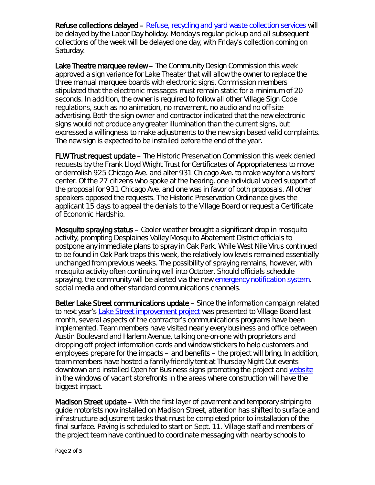Refuse collections delayed – [Refuse, recycling and yard waste collection services](http://www.oak-park.us/village-services/refuse-recycling) will be delayed by the Labor Day holiday. Monday's regular pick-up and all subsequent collections of the week will be delayed one day, with Friday's collection coming on Saturday.

Lake Theatre marquee review – The Community Design Commission this week approved a sign variance for Lake Theater that will allow the owner to replace the three manual marquee boards with electronic signs. Commission members stipulated that the electronic messages must remain static for a minimum of 20 seconds. In addition, the owner is required to follow all other Village Sign Code regulations, such as no animation, no movement, no audio and no off-site advertising. Both the sign owner and contractor indicated that the new electronic signs would not produce any greater illumination than the current signs, but expressed a willingness to make adjustments to the new sign based valid complaints. The new sign is expected to be installed before the end of the year.

FLW Trust request update – The Historic Preservation Commission this week denied requests by the Frank Lloyd Wright Trust for Certificates of Appropriateness to move or demolish 925 Chicago Ave. and alter 931 Chicago Ave. to make way for a visitors' center. Of the 27 citizens who spoke at the hearing, one individual voiced support of the proposal for 931 Chicago Ave. and one was in favor of both proposals. All other speakers opposed the requests. The Historic Preservation Ordinance gives the applicant 15 days to appeal the denials to the Village Board or request a Certificate of Economic Hardship.

Mosquito spraying status – Cooler weather brought a significant drop in mosquito activity, prompting Desplaines Valley Mosquito Abatement District officials to postpone any immediate plans to spray in Oak Park. While West Nile Virus continued to be found in Oak Park traps this week, the relatively low levels remained essentially unchanged from previous weeks. The possibility of spraying remains, however, with mosquito activity often continuing well into October. Should officials schedule spraying, the community will be alerted via the new [emergency notification system,](https://www.oak-park.us/online-services/community-notification-system) social media and other standard communications channels.

Better Lake Street communications update – Since the information campaign related to next year's [Lake Street improvement project](https://betterlakestreet.com/) was presented to Village Board last month, several aspects of the contractor's communications programs have been implemented. Team members have visited nearly every business and office between Austin Boulevard and Harlem Avenue, talking one-on-one with proprietors and dropping off project information cards and window stickers to help customers and employees prepare for the impacts – and benefits – the project will bring. In addition, team members have hosted a family-friendly tent at Thursday Night Out events downtown and installed *Open for Business* signs promoting the project and [website](https://betterlakestreet.com/) in the windows of vacant storefronts in the areas where construction will have the biggest impact.

Madison Street update – With the first layer of pavement and temporary striping to guide motorists now installed on Madison Street, attention has shifted to surface and infrastructure adjustment tasks that must be completed prior to installation of the final surface. Paving is scheduled to start on Sept. 11. Village staff and members of the project team have continued to coordinate messaging with nearby schools to